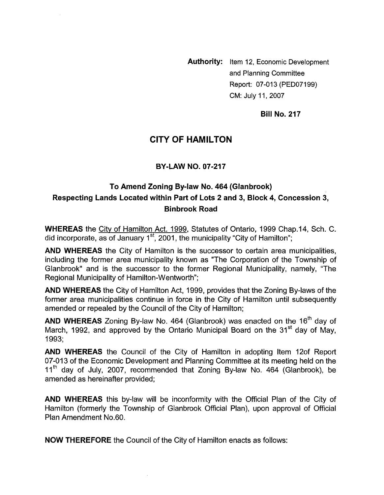**Authority:** Item 12, Economic Development and Planning Committee Report: 07-013 (PEDO7199) CM: July 11,2007

**Bill No. 217** 

## **CITY OF HAMILTON**

#### **BY-LAW NO. 07-217**

# **To Amend Zoning By-law No. 464 (Glanbrook) Respecting Lands Located within Part of Lots 2 and 3, Block 4, Concession 3, Binbrook Road**

**WHEREAS** the Citv of Hamilton Act. 1999, Statutes of Ontario, 1999 Chap.14, Sch. C. did incorporate, as of January  $1<sup>st</sup>$ , 2001, the municipality "City of Hamilton";

**AND WHEREAS** the City of Hamilton is the successor to certain area municipalities, including the former area municipality known as "The Corporation of the Township of Glanbrook" and is the successor to the former Regional Municipality, namely, "The Regional Municipality of Hamilton-Wentworth";

**AND WHEREAS** the City of Hamilton Act, 1999, provides that the Zoning By-laws of the former area municipalities continue in force in the City of Hamilton until subsequently amended or repealed by the Council of the City of Hamilton;

**AND WHEREAS** Zoning By-law No. 464 (Glanbrook) was enacted on the 16<sup>th</sup> day of March, 1992, and approved by the Ontario Municipal Board on the 31 $^{\rm st}$  day of May, 1993;

**AND WHEREAS** the Council of the City of Hamilton in adopting Item 120f Report 07-013 of the Economic Development and Planning Committee at its meeting held on the  $11<sup>th</sup>$  day of July, 2007, recommended that Zoning By-law No. 464 (Glanbrook), be amended as hereinafter provided;

**AND WHEREAS** this by-law will be inconformity with the Official Plan of the City of Hamilton (formerly the Township of Glanbrook Official Plan), upon approval of Official Plan Amendment No.60.

**NOW THEREFORE** the Council of the City of Hamilton enacts as follows: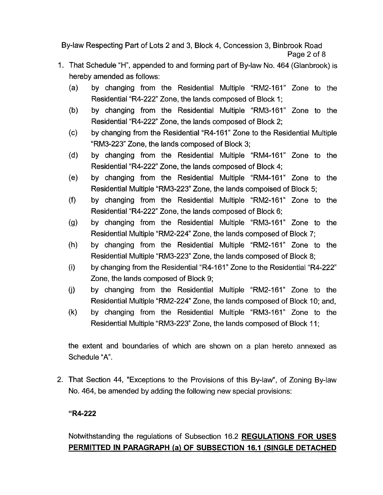By-law Respecting Part of Lots 2 and 3, Block 4, Concession 3, Binbrook Road Page 2 of 8

- 1. That Schedule "H", appended to and forming part of By-law No. 464 (Glanbrook) is hereby amended as follows:
	- $(a)$ by changing from the Residential Multiple "RM2-161" Zone to the Residential "R4-222" Zone, the lands composed of Block 1;
	- $(b)$ by changing from the Residential Multiple "RM3-161" Zone to the Residential "R4-222" Zone, the lands composed of Block 2;
	- $(c)$ by changing from the Residential "R4-161" Zone to the Residential Multiple "RM3-223" Zone, the lands composed of Block 3;
	- $(d)$ by changing from the Residential Multiple "RM4-161" Zone to the Residential "R4-222" Zone, the lands composed of Block 4;
	- $(e)$ by changing from the Residential Multiple "RM4-161" Zone to the Residential Multiple "RM3-223" Zone, the lands compoised of Block 5;
	- $(f)$ by changing from the Residential Multiple "RM2-161" Zone to the Residential "R4-222" Zone, the lands composed of Block 6;
	- by changing from the Residential Multiple "RM3-161" Zone to the  $(g)$ Residential Multiple "RM2-224" Zone, the lands composed of Block 7;
	- $(h)$ by changing from the Residential Multiple "RM2-161" Zone to the Residential Multiple "RM3-223" Zone, the lands composed of Block 8;
	- $(i)$ by changing from the Residential "R4-161" Zone to the Residential "R4-222" Zone, the lands composed of Block 9;
	- $(j)$ by changing from the Residential Multiple "RM2-161" Zone to the Residential Multiple "RM2-224 Zone, the lands composed of Block 10; and,
	- $(k)$ by changing from the Residential Multiple "RM3-161" Zone to the Residential Multiple "RM3-223" Zone, the lands composed of Block 11 ;

the extent and boundaries of which are shown on a plan hereto annexed as Schedule "A".

2. That Section 44, "Exceptions to the Provisions of this By-law", of Zoning By-law No. 464, be amended by adding the following new special provisions:

## **"R4-222**

# Notwithstanding the regulations of Subsection 16.2 **REGULATIONS FOR USES PERMITTED IN PARAGRAPH (a) OF SUBSECTION 16.1 (SINGLE DETACHED**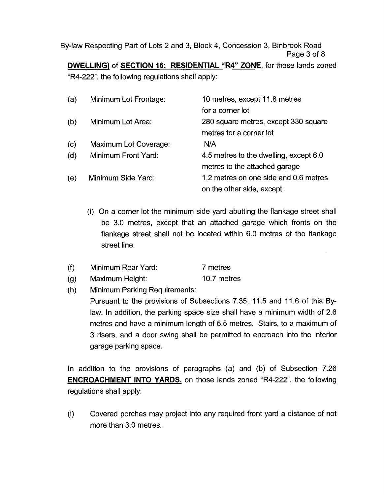By-law Respecting Part of Lots 2 and 3, Block 4, Concession 3, Binbrook Road Page 3 of 8 **DWELLING)** of **SECTION 16: RESIDENTIAL "R4" ZONE,** for those lands zoned

"R4-222", the following regulations shall apply:

| (a) | Minimum Lot Frontage: | 10 metres, except 11.8 metres          |
|-----|-----------------------|----------------------------------------|
|     |                       | for a corner lot                       |
| (b) | Minimum Lot Area:     | 280 square metres, except 330 square   |
|     |                       | metres for a corner lot                |
| (c) | Maximum Lot Coverage: | N/A                                    |
| (d) | Minimum Front Yard:   | 4.5 metres to the dwelling, except 6.0 |
|     |                       | metres to the attached garage          |
| (e) | Minimum Side Yard:    | 1.2 metres on one side and 0.6 metres  |
|     |                       | on the other side, except:             |

- (i) On a corner lot the minimum side yard abutting the flankage street shall be 3.0 metres, except that an attached garage which fronts on the flankage street shall not be located within 6.0 metres of the flankage street line.
- Minimum Rear Yard: 7 metres  $(f)$
- $(g)$ Maximum Height: 10.7 metres
- $(h)$ Minimum Parking Requirements:

Pursuant to the provisions of Subsections 7.35, 11.5 and 11.6 of this Bylaw. In addition, the parking space size shall have a minimum width of 2.6 metres and have a minimum length of 5.5 metres. Stairs, to a maximum of 3 risers, and a door swing shall be permitted to encroach into the interior garage parking space.

In addition to the provisions of paragraphs (a) and (b) of Subsection 7.26 **ENCROACHMENT INTO YARDS,** on those lands zoned "R4-222", the following regulations shall apply:

(i) Covered porches may project into any required front yard a distance of not more than 3.0 metres.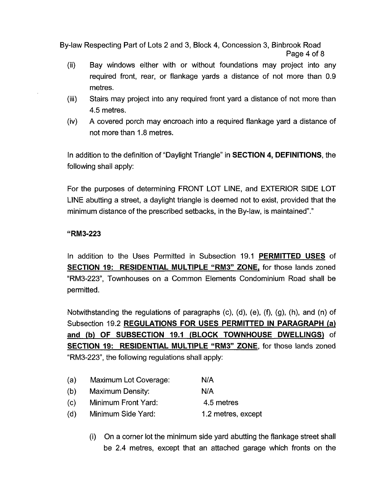By-law Respecting Part of Lots 2 and 3, Block 4, Concession 3, Binbrook Road Page 4 of 8

- (ii) Bay windows either with or without foundations may project into any required front, rear, or flankage yards a distance of not more than 0.9 metres.
- Stairs may project into any required front yard a distance of not more than 4.5 metres. (iii)
- A covered porch may encroach into a required flankage yard a distance of not more than 1.8 metres. (iv)

In addition to the definition of "Daylight Triangle" in **SECTION 4, DEFINITIONS,** the following shall apply:

For the purposes of determining FRONT LOT LINE, and EXTERIOR SIDE LOT LINE abutting a street, a daylight triangle is deemed not to exist, provided that the minimum distance of the prescribed setbacks, in the By-law, is maintained"."

### **"RM3-223**

In addition to the Uses Permitted in Subsection 19.1 **PERMITTED USES** of **SECTION 19: RESIDENTIAL MULTIPLE "RM3" ZONE,** for those lands zoned "RM3-223", Townhouses on a Common Elements Condominium Road shall be permitted.

Notwithstanding the regulations of paragraphs (c), (d), (e), **(9,** (g), (h), and (n) of Subsection 19.2 **REGULATIONS FOR USES PERMITTED IN PARAGRAPH (a) and (b) OF SUBSECTION 19.1 (BLOCK TOWNHOUSE DWELLINGS)** of **SECTION 19: RESIDENTIAL MULTIPLE "RM3" ZONE,** for those lands zoned "RM3-223", the following regulations shall apply:

- (a) Maximum Lot Coverage: N/A (b) Maximum Density: N/A (c) Minimum Front Yard: 4.5 metres (d) Minimum Side Yard: 1.2 metres, except
	- (i) On a corner lot the minimum side yard abutting the flankage street shall be 2.4 metres, except that an attached garage which fronts on the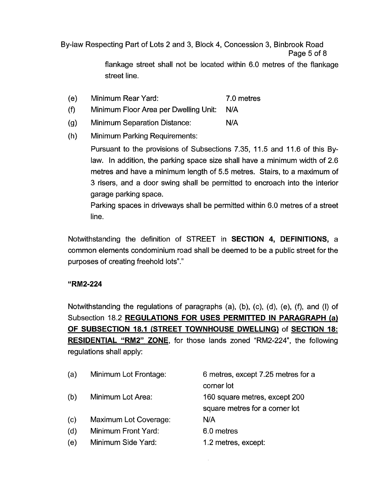By-law Respecting Part of Lots 2 and 3, Block **4,** Concession 3, Binbrook Road Page 5 of 8

> flankage street shall not be located within 6.0 metres of the flankage street line.

- (e) Minimum Rear Yard: 7.0 metres
- (f) Minimum Floor Area per Dwelling Unit: N/A
- (9) Minimum Separation Distance: N/A
- (h) Minimum Parking Requirements:

Pursuant to the provisions of Subsections 7.35, 11.5 and 11.6 of this Bylaw. In addition, the parking space size shall have a minimum width of 2.6 metres and have a minimum length of 5.5 metres. Stairs, to a maximum of 3 risers, and a door swing shall be permitted to encroach into the interior garage parking space.

Parking spaces in driveways shall be permitted within 6.0 metres of a street line.

Notwithstanding the definition of STREET in **SECTION 4, DEFINITIONS,** a common elements condominium road shall be deemed to be a public street for the purposes of creating freehold lots"."

### **"RM2-224**

Notwithstanding the regulations of paragraphs (a), (b), (c), (d), (e), (f), and (I) of Subsection 18.2 **REGULATIONS FOR USES PERMITTED IN PARAGRAPH (a) OF SUBSECTION 18.1 (STREET TOWNHOUSE DWELLING)** of **SECTION 18: RESIDENTIAL "RM2" ZONE,** for those lands zoned "RM2-224", the following regulations shall apply:

| (a) | Minimum Lot Frontage: | 6 metres, except 7.25 metres for a |
|-----|-----------------------|------------------------------------|
|     |                       | corner lot                         |
| (b) | Minimum Lot Area:     | 160 square metres, except 200      |
|     |                       | square metres for a corner lot     |
| (c) | Maximum Lot Coverage: | N/A                                |
| (d) | Minimum Front Yard:   | 6.0 metres                         |
| (e) | Minimum Side Yard:    | 1.2 metres, except:                |
|     |                       |                                    |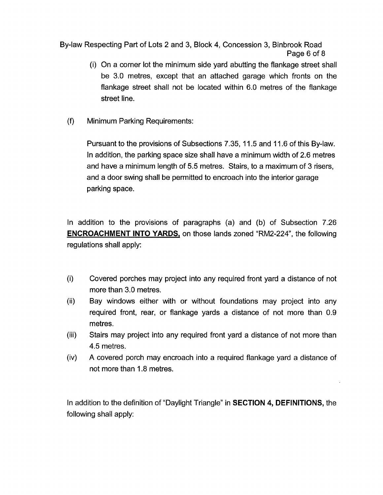By-law Respecting Part of Lots 2 and 3, Block **4,** Concession 3, Binbrook Road Page 6 of 8

- (i) On a corner lot the minimum side yard abutting the flankage street shall be 3.0 metres, except that an attached garage which fronts on the flankage street shall not be located within 6.0 metres of the flankage street line.
- **(9** Minimum Parking Requirements:

Pursuant to the provisions of Subsections 7.35, 11.5 and 11.6 of this By-law. In addition, the parking space size shall have a minimum width of 2.6 metres and have a minimum length of 5.5 metres. Stairs, to a maximum of 3 risers, and a door swing shall be permitted to encroach into the interior garage parking space.

In addition to the provisions of paragraphs (a) and (b) of Subsection 7.26 **ENCROACHMENT INTO YARDS, on those lands zoned "RM2-224", the following** regulations shall apply:

- (i) Covered porches may project into any required front yard a distance of not more than 3.0 metres.
- (ii) Bay windows either with or without foundations may project into any required front, rear, or flankage yards a distance of not more than 0.9 metres.
- Stairs may project into any required front yard a distance of not more than 4.5 metres. (iii)
- **A** covered porch may encroach into a required flankage yard a distance of not more than 1.8 metres. (iv)

In addition to the definition of "Daylight Triangle" in **SECTION 4, DEFINITIONS,** the following shall apply: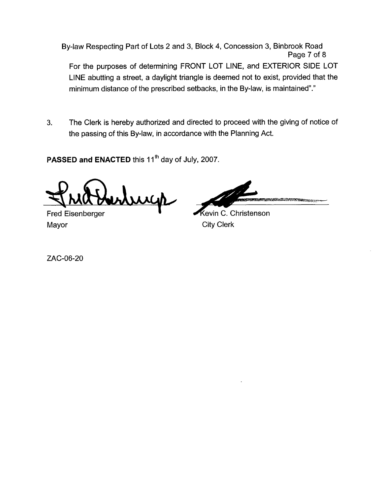By-law Respecting Part of Lots 2 and 3, Block 4, Concession 3, Binbrook Road Page 7 of 8 For the purposes of determining FRONT LOT LINE, and EXTERIOR SIDE LOT LINE abutting a street, a daylight triangle is deemed not to exist, provided that the minimum distance of the prescribed setbacks, in the By-law, is maintained"."

**3.** The Clerk is hereby authorized and directed to proceed with the giving of notice of the passing of this By-law, in accordance with the Planning Act.

PASSED and ENACTED this 11<sup>th</sup> day of July, 2007.

uich

Mayor **City Clerk** 

**TA 1985 PRESERVED TO** 

Fred Eisenberger **evidence even by Electronic C. Christenson** 

ZAC-06-20